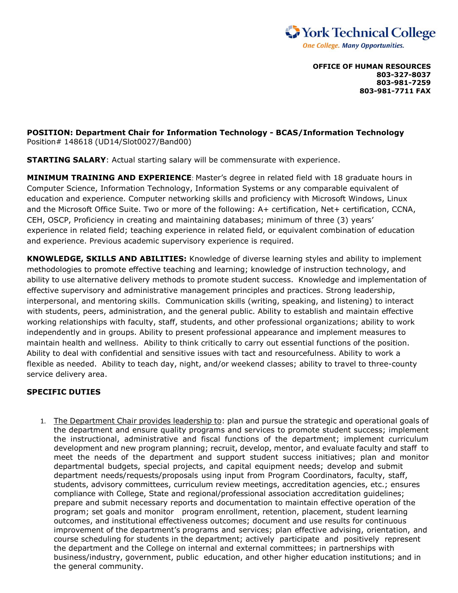

**OFFICE OF HUMAN RESOURCES 803-327-8037 803-981-7259 803-981-7711 FAX**

**POSITION: Department Chair for Information Technology - BCAS/Information Technology**  Position# 148618 (UD14/Slot0027/Band00)

**STARTING SALARY**: Actual starting salary will be commensurate with experience.

**MINIMUM TRAINING AND EXPERIENCE**: Master's degree in related field with 18 graduate hours in Computer Science, Information Technology, Information Systems or any comparable equivalent of education and experience. Computer networking skills and proficiency with Microsoft Windows, Linux and the Microsoft Office Suite. Two or more of the following: A+ certification, Net+ certification, CCNA, CEH, OSCP, Proficiency in creating and maintaining databases; minimum of three (3) years' experience in related field; teaching experience in related field, or equivalent combination of education and experience. Previous academic supervisory experience is required.

**KNOWLEDGE, SKILLS AND ABILITIES:** Knowledge of diverse learning styles and ability to implement methodologies to promote effective teaching and learning; knowledge of instruction technology, and ability to use alternative delivery methods to promote student success. Knowledge and implementation of effective supervisory and administrative management principles and practices. Strong leadership, interpersonal, and mentoring skills. Communication skills (writing, speaking, and listening) to interact with students, peers, administration, and the general public. Ability to establish and maintain effective working relationships with faculty, staff, students, and other professional organizations; ability to work independently and in groups. Ability to present professional appearance and implement measures to maintain health and wellness. Ability to think critically to carry out essential functions of the position. Ability to deal with confidential and sensitive issues with tact and resourcefulness. Ability to work a flexible as needed. Ability to teach day, night, and/or weekend classes; ability to travel to three-county service delivery area.

## **SPECIFIC DUTIES**

1. The Department Chair provides leadership to: plan and pursue the strategic and operational goals of the department and ensure quality programs and services to promote student success; implement the instructional, administrative and fiscal functions of the department; implement curriculum development and new program planning; recruit, develop, mentor, and evaluate faculty and staff to meet the needs of the department and support student success initiatives; plan and monitor departmental budgets, special projects, and capital equipment needs; develop and submit department needs/requests/proposals using input from Program Coordinators, faculty, staff, students, advisory committees, curriculum review meetings, accreditation agencies, etc.; ensures compliance with College, State and regional/professional association accreditation guidelines; prepare and submit necessary reports and documentation to maintain effective operation of the program; set goals and monitor program enrollment, retention, placement, student learning outcomes, and institutional effectiveness outcomes; document and use results for continuous improvement of the department's programs and services; plan effective advising, orientation, and course scheduling for students in the department; actively participate and positively represent the department and the College on internal and external committees; in partnerships with business/industry, government, public education, and other higher education institutions; and in the general community.